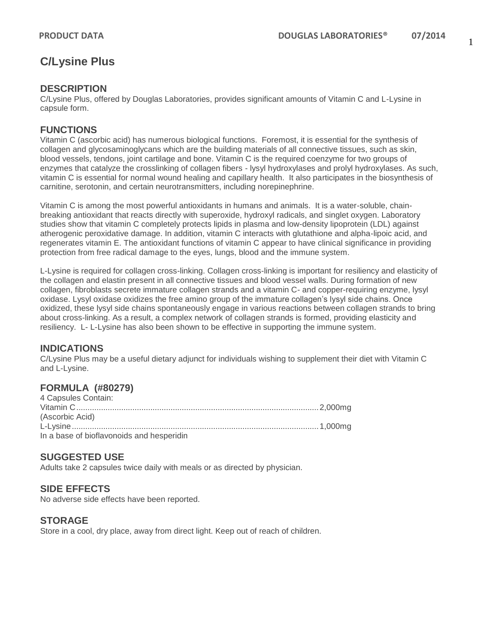# **C/Lysine Plus**

#### **DESCRIPTION**

C/Lysine Plus, offered by Douglas Laboratories, provides significant amounts of Vitamin C and L-Lysine in capsule form.

## **FUNCTIONS**

Vitamin C (ascorbic acid) has numerous biological functions. Foremost, it is essential for the synthesis of collagen and glycosaminoglycans which are the building materials of all connective tissues, such as skin, blood vessels, tendons, joint cartilage and bone. Vitamin C is the required coenzyme for two groups of enzymes that catalyze the crosslinking of collagen fibers - lysyl hydroxylases and prolyl hydroxylases. As such, vitamin C is essential for normal wound healing and capillary health. It also participates in the biosynthesis of carnitine, serotonin, and certain neurotransmitters, including norepinephrine.

Vitamin C is among the most powerful antioxidants in humans and animals. It is a water-soluble, chainbreaking antioxidant that reacts directly with superoxide, hydroxyl radicals, and singlet oxygen. Laboratory studies show that vitamin C completely protects lipids in plasma and low-density lipoprotein (LDL) against atherogenic peroxidative damage. In addition, vitamin C interacts with glutathione and alpha-lipoic acid, and regenerates vitamin E. The antioxidant functions of vitamin C appear to have clinical significance in providing protection from free radical damage to the eyes, lungs, blood and the immune system.

L-Lysine is required for collagen cross-linking. Collagen cross-linking is important for resiliency and elasticity of the collagen and elastin present in all connective tissues and blood vessel walls. During formation of new collagen, fibroblasts secrete immature collagen strands and a vitamin C- and copper-requiring enzyme, lysyl oxidase. Lysyl oxidase oxidizes the free amino group of the immature collagen's lysyl side chains. Once oxidized, these lysyl side chains spontaneously engage in various reactions between collagen strands to bring about cross-linking. As a result, a complex network of collagen strands is formed, providing elasticity and resiliency. L- L-Lysine has also been shown to be effective in supporting the immune system.

## **INDICATIONS**

C/Lysine Plus may be a useful dietary adjunct for individuals wishing to supplement their diet with Vitamin C and L-Lysine.

## **FORMULA (#80279)**

| 4 Capsules Contain:                       |  |
|-------------------------------------------|--|
|                                           |  |
| (Ascorbic Acid)                           |  |
|                                           |  |
| In a base of bioflavonoids and hesperidin |  |

#### **SUGGESTED USE**

Adults take 2 capsules twice daily with meals or as directed by physician.

## **SIDE EFFECTS**

No adverse side effects have been reported.

#### **STORAGE**

Store in a cool, dry place, away from direct light. Keep out of reach of children.

1